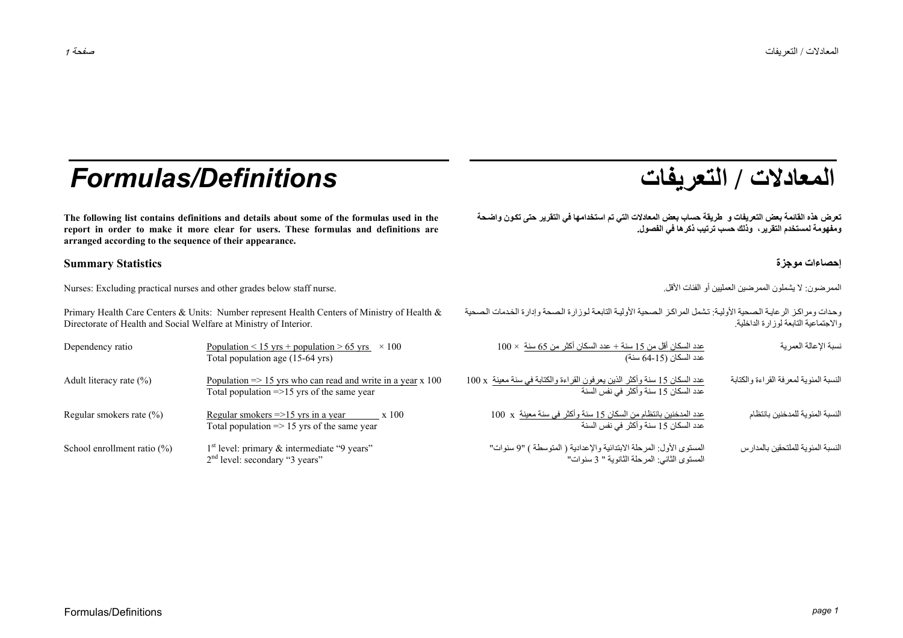# **/ التعريفات** *Definitions/Formulas*

**The following list contains definitions and details about some of the formulas used in the report in order to make it more clear for users. These formulas and definitions are arranged according to the sequence of their appearance.** 

### **إحصاءات موجزة Statistics Summary**

الممرضون: لا يشملون الممرضين العمليين أو الفئات الأقل المنافع المقاس المعليين المعليين الممرضين العمليين أو الفئات الأقل المعليين أو الفئات الأقل المعليين المعليين المعليين المعليين المعليين الممرضون لا يشملون الممرضون ال

Primary Health Care Centers & Units: Number represent Health Centers of Ministry of Health & Directorate of Health and Social Welfare at Ministry of Interior.

| المعادلات / التعريفات |  |  |
|-----------------------|--|--|
|-----------------------|--|--|

تعرض هذه القائمة بعض التعريفات و طريقة حساب بعض المعادلات التي تم استخدامها في التقرير حتى تكون واضحة **ومفهومة لمستخدم التقرير، وذلك حسب ترتيب ذآرها في الفصول.** 

وحدات ومراكز الرعايـة الصحية الأوليـة: تشمل المراكز الصحية الأوليـة التابعـة لـوزارة الـصحة وإدارة الخدمات الـصحية والاجتماعية التابعة لوزارة الداخلية.

| Dependency ratio               | Population < 15 yrs + population > 65 yrs<br>$\times$ 100<br>Total population age (15-64 yrs)                                    | $100\times$ عدد السكان أقل من 15 سنة $+$ عدد السكان أكثر من 65 سنة $00\times$<br>عدد السكان (15-64 سنة)            | نسبة الإعالة العمرية                   |
|--------------------------------|----------------------------------------------------------------------------------------------------------------------------------|--------------------------------------------------------------------------------------------------------------------|----------------------------------------|
| Adult literacy rate $(\% )$    | Population $\Rightarrow$ 15 yrs who can read and write in a year x 100<br>Total population $\Rightarrow$ 15 yrs of the same year | عدد السكان 15 سنة وأكثر الذين يعرفون القراءة والكتابة في سنة معينة x 100<br>عدد السكان 15 سنة وأكثر في نفس السنة   | النسبة المئوية لمعرفة القراءة والكنابة |
| Regular smokers rate (%)       | Regular smokers $\approx$ 15 yrs in a year<br>x 100<br>Total population $\Rightarrow$ 15 yrs of the same year                    | عدد المدخنين بانتظام من السكان 15 سنة وأكثر في سنة معينة  x 100<br>عدد السكان 15 سنة وأكثر في نفس السنة            | النسبة المئوية للمدخنين بانتظام        |
| School enrollment ratio $(\%)$ | $1st$ level: primary & intermediate "9 years"<br>$2nd$ level: secondary "3 years"                                                | المستوى الأول: المرحلة الابتدائية والإعدادية ( المتوسطة ) "9 سنوات"<br>المستوى الثاني: المرحلة الثانوية " 3 سنوات" | النسبة المئوية للملتحقين بالمدارس      |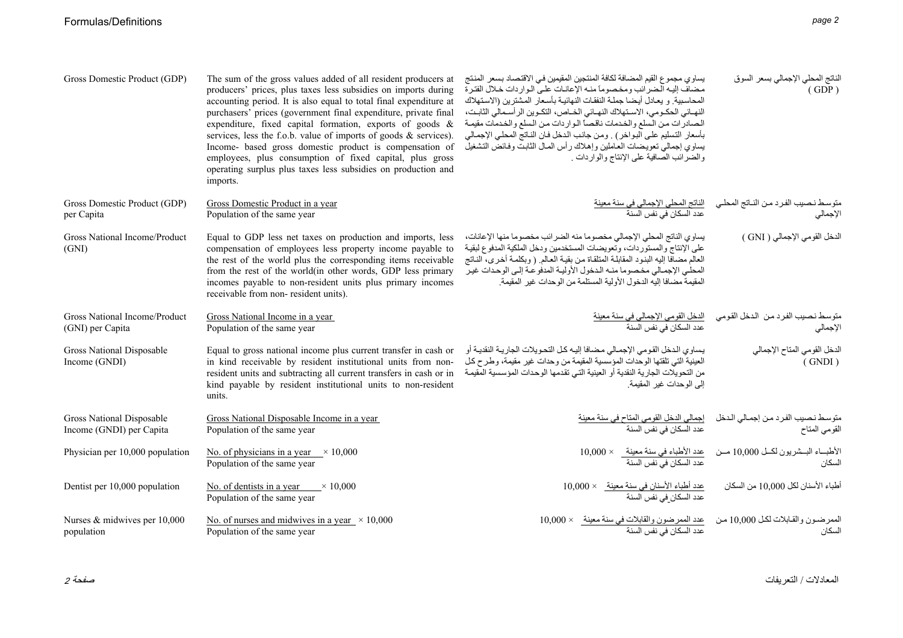| Gross Domestic Product (GDP)                          | The sum of the gross values added of all resident producers at<br>producers' prices, plus taxes less subsidies on imports during<br>accounting period. It is also equal to total final expenditure at<br>purchasers' prices (government final expenditure, private final<br>expenditure, fixed capital formation, exports of goods $\&$<br>services, less the f.o.b. value of imports of goods & services).<br>Income- based gross domestic product is compensation of<br>employees, plus consumption of fixed capital, plus gross<br>operating surplus plus taxes less subsidies on production and<br>imports. | يساوي مجموع القيم المضافة لكافة المنتجين المقيمين في الاقتصاد بسعر المنتج<br>مضاف إليه الضرائب ومخصوما منه الإعانات على الواردات خلال الفترة<br>المحاسبية و يعادل أيضا جملة النفقات النهائية بأسعار المشترين (الاستهلاك<br>النهـائي الحكـومي، الاسـنهلاك النهـائي الخـاص، النكـوين الرأسـمالي الثابـت،<br>الصادرات من السلع والخدمات ناقصاً الواردات من السلع والخدمات مقيمة<br>بأسعار التسليم على البواخر) . ومن جانب الدخل فان الناتج المحلي الإجمالي<br>يساوي إجمالي نعويضات العاملين وإهلاك رأس المال الثابت وفائض التشغيل<br>والضرائب الصافية على الإنتاج والواردات . | الناتج المحلي الإجمالي بسعر السوق<br>(GDP)                         |
|-------------------------------------------------------|-----------------------------------------------------------------------------------------------------------------------------------------------------------------------------------------------------------------------------------------------------------------------------------------------------------------------------------------------------------------------------------------------------------------------------------------------------------------------------------------------------------------------------------------------------------------------------------------------------------------|----------------------------------------------------------------------------------------------------------------------------------------------------------------------------------------------------------------------------------------------------------------------------------------------------------------------------------------------------------------------------------------------------------------------------------------------------------------------------------------------------------------------------------------------------------------------------|--------------------------------------------------------------------|
| Gross Domestic Product (GDP)<br>per Capita            | Gross Domestic Product in a year<br>Population of the same year                                                                                                                                                                                                                                                                                                                                                                                                                                                                                                                                                 |                                                                                                                                                                                                                                                                                                                                                                                                                                                                                                                                                                            | الإجمالي                                                           |
| Gross National Income/Product<br>(GNI)                | Equal to GDP less net taxes on production and imports, less<br>compensation of employees less property income payable to<br>the rest of the world plus the corresponding items receivable<br>from the rest of the world(in other words, GDP less primary<br>incomes payable to non-resident units plus primary incomes<br>receivable from non-resident units).                                                                                                                                                                                                                                                  | يساوي الناتج المحلى الإجمالي مخصوما منه الضرائب مخصوما منها الإعانات،<br>على الإنتاج والمستوردات، وتعويضات المستخدمين ودخل الملكية المدفوع لبقية<br>العالم مضافا إليه البنود المقابلة المتلقاة من بقية العالم (وبكلمة أخرى، الناتج<br>المحلي الإجمالي مخصوما منه الدخول الأولية المدفوعة إلىي الوحدات غير<br>المقيمة مضافا إليه الدخول الأولية المستلمة من الوحدات غير المقيمة.                                                                                                                                                                                            | الدخل القومي الإجمالي ( GNI )                                      |
| Gross National Income/Product<br>(GNI) per Capita     | Gross National Income in a year<br>Population of the same year                                                                                                                                                                                                                                                                                                                                                                                                                                                                                                                                                  | ا <u>لدخل القومي الإجمالي في سنة معينة</u><br>عدد السكان في نفس السنة                                                                                                                                                                                                                                                                                                                                                                                                                                                                                                      | متوسط نصيب الفرد من الدخل القومي<br>الإجمالي                       |
| Gross National Disposable<br>Income (GNDI)            | Equal to gross national income plus current transfer in cash or<br>in kind receivable by resident institutional units from non-<br>resident units and subtracting all current transfers in cash or in<br>kind payable by resident institutional units to non-resident<br>units.                                                                                                                                                                                                                                                                                                                                 | يساوي الدخل القومي الإجمالي مضافا إليه كل التحويلات الجارية النقدية أو<br>العينية التي تلقتها الوحدات المؤسسية المقيمة من وحدات غير مقيمة، وطرح كل<br>من التحويلات الجارية النقدية أو العينية التي تقدمها الوحدات المؤسسية المقيمة<br>الى الوحدات غبر المقبمة                                                                                                                                                                                                                                                                                                              | الدخل القومي المتاح الإجمالي<br>(GNDI)                             |
| Gross National Disposable<br>Income (GNDI) per Capita | Gross National Disposable Income in a year<br>Population of the same year                                                                                                                                                                                                                                                                                                                                                                                                                                                                                                                                       | إجمالي الدخل القومي المتاح في سنة معينة<br>عدد السكان في نفس السنة                                                                                                                                                                                                                                                                                                                                                                                                                                                                                                         | منوسط نصيب الفرد من إجمالي الدخل<br>القومي المناح<br>القومي المتاح |
| Physician per 10,000 population                       | No. of physicians in a year $\times 10,000$<br>Population of the same year                                                                                                                                                                                                                                                                                                                                                                                                                                                                                                                                      | <u>عدد الأطباء في سنة معينة            10,000</u><br>عدد السكان في نفس السنة                                                                                                                                                                                                                                                                                                                                                                                                                                                                                               | الأطباء البسشريون لكل 10,000 مسن<br>السكان                         |
| Dentist per 10,000 population                         | No. of dentists in a year $\_\times$ 10,000<br>Population of the same year                                                                                                                                                                                                                                                                                                                                                                                                                                                                                                                                      | عدد أطباء الأسنان في سنة معينة_ × 10,000<br>عدد السكان في نفس السنة                                                                                                                                                                                                                                                                                                                                                                                                                                                                                                        | أطباء الأسنان لكل 10,000 من السكان                                 |
| Nurses & midwives per 10,000<br>population            | No. of nurses and midwives in a year $\times$ 10,000<br>Population of the same year                                                                                                                                                                                                                                                                                                                                                                                                                                                                                                                             | عدد الممرضون والقابلات في سنة معينة × 10,000<br>عدد السكان في نفس السنة                                                                                                                                                                                                                                                                                                                                                                                                                                                                                                    | الممرضون والقابلات لكل 10,000 من<br>السكان                         |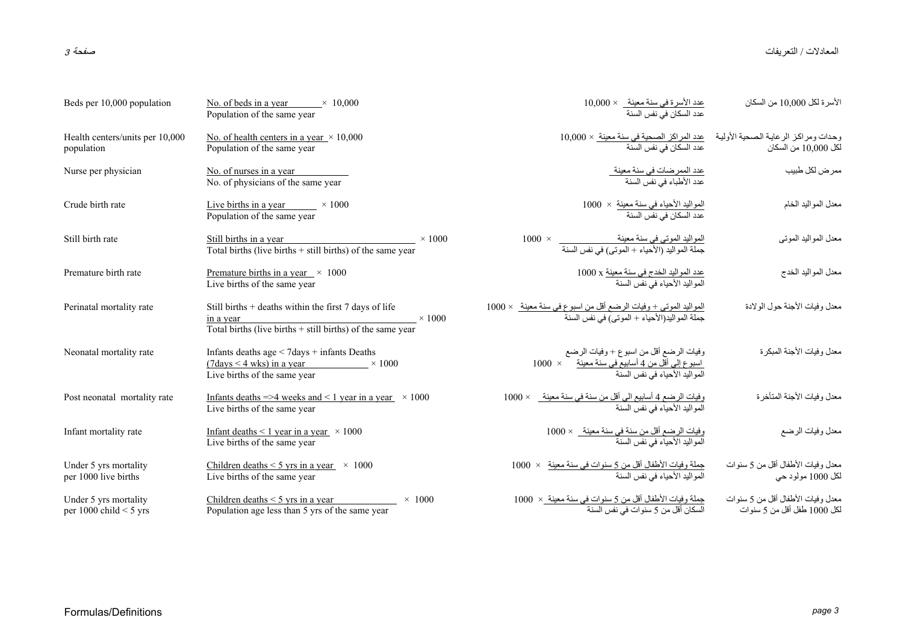المعادلات / التعريفات / التعريفات صفحة <sup>3</sup>

| Beds per 10,000 population                        | No. of beds in a year $\times$ 10,000<br>Population of the same year                                                                                | <u>عدد الأسرة في سنة معينة      × 10,000</u><br>عدد السكان في نفس السنة                                                  | الأسر ة لكل 10.000 من السكان                                     |
|---------------------------------------------------|-----------------------------------------------------------------------------------------------------------------------------------------------------|--------------------------------------------------------------------------------------------------------------------------|------------------------------------------------------------------|
| Health centers/units per 10,000<br>population     | No. of health centers in a year $\times$ 10,000<br>Population of the same year                                                                      | وحدات ومراكز الرعاية الصحية الأولية <u>عدد المراكز الصحية في سنة معينة</u> × 10,000<br>لكل 10,000 من السكان              |                                                                  |
| Nurse per physician                               | No. of nurses in a year<br>No. of physicians of the same year                                                                                       | <u>عدد الممرضات في سنة معينة.</u><br>عدد الأطباء في نفس السنة                                                            | ممرض لكل طبيب                                                    |
| Crude birth rate                                  | Live births in a year $\times 1000$<br>Population of the same year                                                                                  | المواليد الأحياء في سنة معينة  ×  1000<br>عدد السكان في نفس السنة                                                        | معدل المواليد الخام                                              |
| Still birth rate                                  | Still births in a year<br>$\times$ 1000<br>Total births (live births $+$ still births) of the same year                                             | المواليد الموتى في سنة معينة<br>جملة المواليد (الأحياء + الموتى) في نفس السنة                                            | معدل المواليد الموتبي                                            |
| Premature birth rate                              | Premature births in a year $\times$ 1000<br>Live births of the same year                                                                            | <u>عدد المواليد الخدج في سنة معينة</u> x 1000<br>المواليد الأحياء في نفس السنة                                           | معدل المواليد الخدج                                              |
| Perinatal mortality rate                          | Still births + deaths within the first 7 days of life<br>$\times$ 1000<br>in a year<br>Total births (live births $+$ still births) of the same year | ا <u>لمواليد الموتى + وفيات الرضع أقل من اسبوع في سنة معينة   × 1000</u><br>جملة المواليد(الأحياء + الموتى) في نفس السنة | معدل وفيات الأجنة حول الولادة                                    |
| Neonatal mortality rate                           | Infants deaths age < 7days + infants Deaths<br>$(7 \text{days} < 4 \text{ wks})$ in a year $\times 1000$<br>Live births of the same year            | وفيات الرضع أقل من اسبوع + وفيات الرضع                                                                                   | معدل وفيات الأجنة المبكر ة                                       |
| Post neonatal mortality rate                      | Infants deaths =>4 weeks and <1 year in a year $\times$ 1000<br>Live births of the same year                                                        | وفيات الرضع 4 أسابيع الى أقل من سنة في سنة معينة_ × 1000<br>المواليد الأحياء في نفس السنة                                | معدل وفيات الأجنة المتأخرة                                       |
| Infant mortality rate                             | Infant deaths $\leq 1$ year in a year $\times 1000$<br>Live births of the same year                                                                 | وفيات الرضع أقل من سنة في سنة معينة__ × 1000<br>المو اليد الأحياء في نفس السنة                                           | معدل وفيات الرضع                                                 |
| Under 5 yrs mortality<br>per 1000 live births     | Children deaths $\leq$ 5 yrs in a year $\times$ 1000<br>Live births of the same year                                                                | <u>جملة وفيات الأطفال أقل من 5 سنوات في سنة معينة</u> ×  1000<br>المواليد الأحياء في نفس السنة                           | معدل وفيات الأطفال أقل من 5 سنوات<br>لكل 1000 مولود حي           |
| Under 5 yrs mortality<br>per 1000 child $<$ 5 yrs | Children deaths $\leq$ 5 yrs in a year<br>$\times$ 1000<br>Population age less than 5 yrs of the same year                                          | جملة وفيات الأطفال أقل من 5 سنوات في سنة معينة _×  1000<br>السكان أقل من 5 سنوات في نفس السنة                            | معدل وفيات الأطفال أقل من 5 سنوات<br>لكل 1000 طفل أقل من 5 سنوات |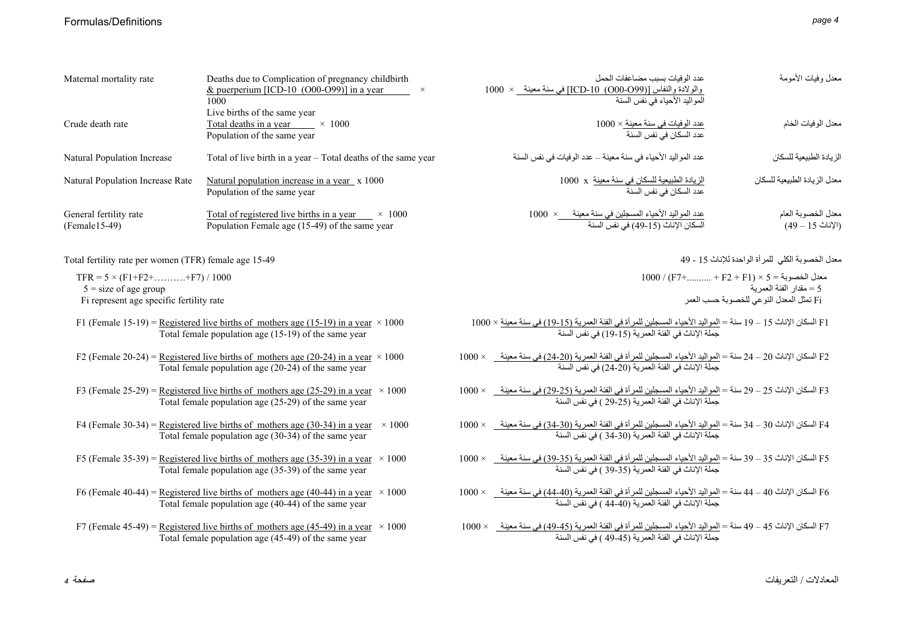| Maternal mortality rate                                                                                               | Deaths due to Complication of pregnancy childbirth<br>& puerperium [ICD-10 $(000-099)$ ] in a year<br>1000<br>Live births of the same year          | عدد الو فيات بسبب مضاعفات الحمل<br>والولادة والنفاس [(O00-O99) 10-ICD] في سنة معينة لا 1000<br>المو اليد الأحياء في نفس السنة                                                          | معدل وفيات الأمومة                                                                                                |
|-----------------------------------------------------------------------------------------------------------------------|-----------------------------------------------------------------------------------------------------------------------------------------------------|----------------------------------------------------------------------------------------------------------------------------------------------------------------------------------------|-------------------------------------------------------------------------------------------------------------------|
| Crude death rate                                                                                                      | Total deaths in a year $\times$ 1000<br>Population of the same year                                                                                 | <u>عدد الوفيات في سنة معينة × 1</u> 000<br>عدد السكان في نفس السنة                                                                                                                     | معدل الوفيات الخام                                                                                                |
| Natural Population Increase                                                                                           | Total of live birth in a year – Total deaths of the same year                                                                                       | عدد المواليد الأحياء في سنة معينة – عدد الوفيات في نفس السنة                                                                                                                           | الز يادة الطبيعية للسكان                                                                                          |
| Natural Population Increase Rate                                                                                      | Natural population increase in a year x 1000<br>Population of the same year                                                                         | الزيادة الطبيعية للسكان في سنة معينة  x   1000<br>عدد السكان في نفس السنة                                                                                                              | معدل الزيادة الطبيعية للسكان                                                                                      |
| General fertility rate<br>$(Female15-49)$                                                                             | Total of registered live births in a year $\times 1000$<br>Population Female age (15-49) of the same year                                           | عدد المواليد الأحياء المسجلين في سنة معينة __ ×   1000<br>السكان الإناث (15-49) في نفس السنة                                                                                           | معدل الخصوبة العام<br>(الإناث 15 – 49)                                                                            |
| Total fertility rate per women (TFR) female age 15-49                                                                 |                                                                                                                                                     |                                                                                                                                                                                        | معدل الخصوبة الكلي للمرأة الواحدة للإناث 15 - 49                                                                  |
| TFR = $5 \times (F1 + F2 + \dots + F7) / 1000$<br>$5 = size of age group$<br>Fi represent age specific fertility rate |                                                                                                                                                     |                                                                                                                                                                                        | $1000 / (F7+$ + F2 + F1) × 5 = معدل الخصوبة<br>5 = مقدار الفئة العمرية<br>Fi تمثل المعدل النوعي للخصوبة حسب العمر |
|                                                                                                                       | F1 (Female 15-19) = Registered live births of mothers age (15-19) in a year $\times$ 1000<br>Total female population age (15-19) of the same year   | F1 السكان الإناث 15 – 19 سنة = <u>المواليد الأحي</u> اء المسجلين للمر أة في الفئة العمرية (1 <u>9-15) في سنة معينة</u> × 1000<br>جملة الإناث في الفئة العمرية (15-19) في نفس السنة     |                                                                                                                   |
|                                                                                                                       | F2 (Female 20-24) = Registered live births of mothers age (20-24) in a year $\times$ 1000<br>Total female population age (20-24) of the same year   | F2 السكان الإناث 20 – 24 سنة = <u>المواليد الأحياء المسجلين للمر</u> أة في الفئة العمرية (20-24) في سنة معينة _ × 1000<br>جملة الإناث في الفئة العمرية (20-24) في نفس السنة            |                                                                                                                   |
|                                                                                                                       | F3 (Female 25-29) = Registered live births of mothers age (25-29) in a year $\times$ 1000<br>Total female population age $(25-29)$ of the same year | F3 السكان الإناث 25 – 29 سنة = <u>المو</u> اليد الأحياء المسجلين للمرأة في الفئة العمرية (25-29) في سنة معينة _<br>جملة الإناث في الفئة العمرية (25-29 ) في نفس السنة<br>$1000 \times$ |                                                                                                                   |
|                                                                                                                       | F4 (Female 30-34) = Registered live births of mothers age (30-34) in a year $\times$ 1000<br>Total female population age (30-34) of the same year   | F4 السكان الإناث 30 – 34 سنة = المواليد الأحياء المسجلين للمر أة في الفئة العمرية (30-34) في سنة معينة _    × 1000<br>جملة الإناث في الفئة العمرية (30-34) في نفس السنة                |                                                                                                                   |
|                                                                                                                       | F5 (Female 35-39) = Registered live births of mothers age (35-39) in a year $\times$ 1000<br>Total female population age (35-39) of the same year   | F5 السكان الإناث 35 – 39 سنة = <u>المواليد الأحي</u> اء المسجلين للمرأة في الفئة العمرية (35-39) في سنة معينة _ × 1000<br>جملة الإناث في الفئة العمرية (35-39 ) في نفس السنة           |                                                                                                                   |
|                                                                                                                       | F6 (Female 40-44) = Registered live births of mothers age (40-44) in a year $\times$ 1000<br>Total female population age (40-44) of the same year   | F6 السكان الإناث 40 – 44 سنة = <u>المواليد الأحي</u> اء المسجلين للمرأة في الفئة العمرية (40-44) في سنة معينة _ × 1000<br>جملة الإناث في الفئة العمرية (40-44 ) في نفس السنة           |                                                                                                                   |
|                                                                                                                       | F7 (Female 45-49) = Registered live births of mothers age (45-49) in a year $\times$ 1000<br>Total female population age (45-49) of the same year   | F7 السكان الإناث 45 – 49 سنة = <u>المواليد الأحي</u> اء المسجلين للمر أة في الفئة العمرية (45-4 <u>9) في سنة معينة _</u> × 1000<br>جملة الإناث في الفئة العمرية (45-49 ) في نفس السنة  |                                                                                                                   |
|                                                                                                                       |                                                                                                                                                     |                                                                                                                                                                                        |                                                                                                                   |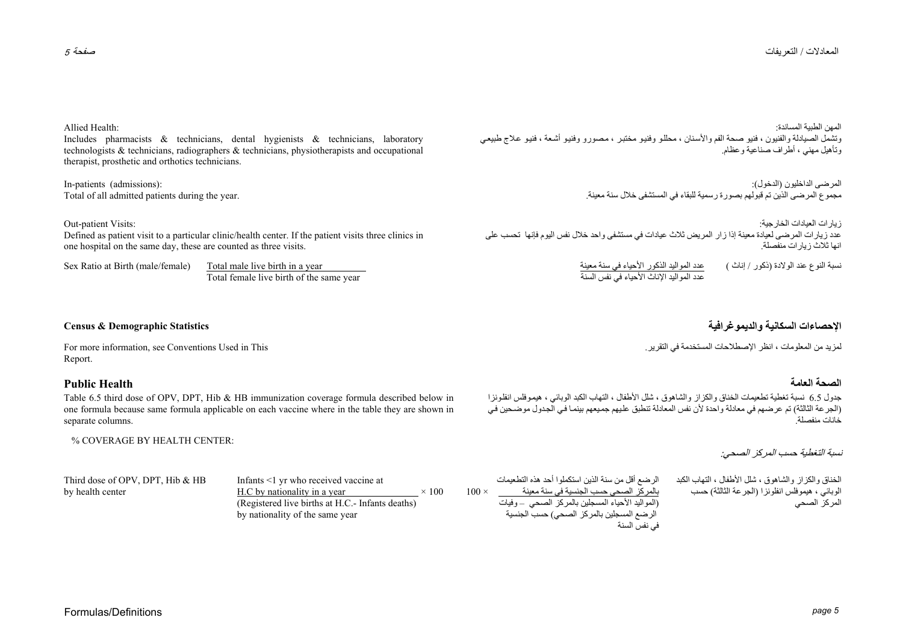المهن الطبية المساندة: وتشمل الصيادلة والفنيون ، فنيو صحة الفم والأسنان ، محللو وفنيو مختبر ، مصورو وفنيو أشعة ، فنيو علاج طبيعي وتأهيل مهني ، أطراف صناعية وعظام.

> المرضى الداخليون (الدخول): مجموع المرضى الذين تم قبولهم بصورة رسمية للبقاء في المستشفى خلال سنة معينة.

زيارات العيادات الخارجية: عدد زيارات المرضى لعيادة معينة إذا زار المريض ثلاث عيادات في مستشفى واحد خلال نفس اليوم فإنها تحسب على انها ثلاث زيارات منفصلة

> عدد المواليد الذكور الأحياء في سنة معينة<br>عدد المواليد الإناث الأحياء في نفس السنة نسبة النوع عند الولادة (ذكور / إناث )

لمزيد من المعلومات ، انظر الإصطلاحات المستخدمة في التقرير.

### **الصحة العامة**

جدول 6.5 نسبة تغطية تطعيمات الخناق والكزاز والشاهوق ، شلل الأطفال ، التهاب الكبد الوبائي ، هيموفلس انفلونزا ركت سبب بن تم عرضهم في معادلة واحدة لأن نفس المعادلة تنطبق عليهم جميعهم بينما في الجدول موضحين في<br>(الجرعة الثالثة) تم عرضهم في معادلة واحدة لأن نفس المعادلة تنطبق عليهم جميعهم بينما في الجدول موضحين في .خانات منفصلة

### نسبة التغطية حسب المركز الصحي:

الخناق والكزاز والشاهوق ، شلل الأطفال ، التهاب الكبد الوبائي ، هيموفلس انفلونزا (الجرعة الثالثة) حسب المركز الصحي

الرضع أقل من سنة الذين استكملوا أحد هذه التطعيمات بالمركز الصحي حسب الجنسية في سنة معينة 100 (المواليد الأحياء المسجلين بالمرآز الصحي – وفيات الرضع المسجلين بالمركز الصحي) حسب الجنسية في نفس السنة

Third dose of OPV, DPT, Hib & HB by health center

Infants <1 yr who received vaccine at H.C by nationality in a year  $\times 100$ (Registered live births at H.C.- Infants deaths) by nationality of the same year

## Formulas/Definitions *page 5*

### Allied Health:

Includes pharmacists & technicians, dental hygienists & technicians, laboratory technologists & technicians, radiographers & technicians, physiotherapists and occupational therapist, prosthetic and orthotics technicians.

Total of all admitted patients during the year.

Out-patient Visits:

Defined as patient visit to a particular clinic/health center. If the patient visits three clinics in one hospital on the same day, these are counted as three visits.

Sex Ratio at Birth (male/female) Total male live birth in a year Total female live birth of the same year

#### **الإحصاءات السكانية والديموغرافية Statistics Demographic & Census**

For more information, see Conventions Used in This Report.

### **Public Health**

Table 6.5 third dose of OPV, DPT, Hib & HB immunization coverage formula described below in one formula because same formula applicable on each vaccine where in the table they are shown in separate columns.

#### % COVERAGE BY HEALTH CENTER:

In-patients (admissions):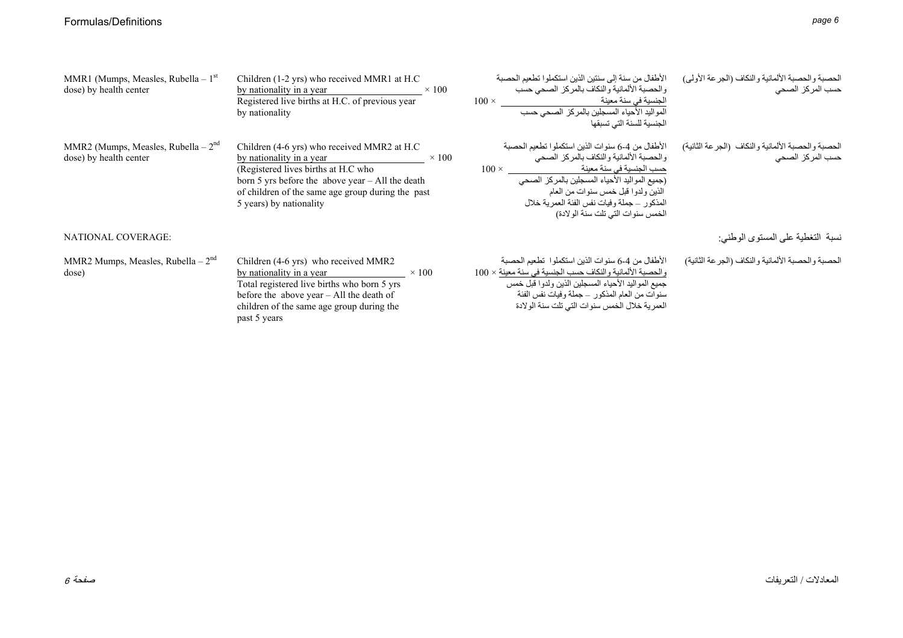| MMR1 (Mumps, Measles, Rubella – $1st$<br>dose) by health center | Children (1-2 yrs) who received MMR1 at H.C<br>by nationality in a year $\times 100$<br>Registered live births at H.C. of previous year<br>by nationality                                                                                          |              | الأطفال من سنة إلى سنتين الذين استكملوا تطعيم الحصبة<br>و الحصبة الألمانية و النكاف بالمر كز   الصحى حسب<br>ا <u>لجنسية في سن</u> ة معينة<br>$100 \times$<br>المواليد الأحياء المسجلين بالمركز الصحى حسب<br>الجنسية للسنة التى تسبقها                                                                              | الحصبة والحصبة الألمانية والنكاف (الجرعة الأولى)<br>حسب المركز الصحى  |
|-----------------------------------------------------------------|----------------------------------------------------------------------------------------------------------------------------------------------------------------------------------------------------------------------------------------------------|--------------|--------------------------------------------------------------------------------------------------------------------------------------------------------------------------------------------------------------------------------------------------------------------------------------------------------------------|-----------------------------------------------------------------------|
| MMR2 (Mumps, Measles, Rubella $-2nd$<br>dose) by health center  | Children (4-6 yrs) who received MMR2 at H.C<br>by nationality in a year<br>(Registered lives births at H.C who<br>born 5 yrs before the above year - All the death<br>of children of the same age group during the past<br>5 years) by nationality | $\times$ 100 | الأطفال من 4-6 سنوات الذين استكملوا تطعيم الحصبة<br>والحصبة الألمانية والنكاف بالمركز الصحى<br>حسب الجنسية في سنة معينة<br>$100 \times$<br>(جميع المواليد الأحياء المسجلين بالمركز الصحي<br>الذين ولدوا قبل خمس سنوات من العام<br>المذكور – جملة وفيات نفس الفئة العمرية خلال<br>الخمس سنوات التي تلت سنة الولادة) | الحصبة والحصبة الألمانية والنكاف (الجرعة الثانية)<br>حسب المركز الصحى |
| NATIONAL COVERAGE:                                              |                                                                                                                                                                                                                                                    |              |                                                                                                                                                                                                                                                                                                                    | نسبة التغطية على المستوى الوطني:                                      |
| MMR2 Mumps, Measles, Rubella $-2nd$<br>dose)                    | Children (4-6 yrs) who received MMR2<br>by nationality in a year<br>$\times$ 100<br>Total registered live births who born 5 yrs<br>before the above year - All the death of<br>children of the same age group during the<br>past 5 years           |              | الأطفال من 4-6 سنوات الذين استكملوا  تطعيم الحصبة<br>والحصبة الألمانية والنكاف حسب الجنسية في سنة معينة × 100<br>جميع المواليد الأحياء المسجلين الذين ولدوا قبل خمس<br>سنوات من العام المذكور _ جملة وفيات نفس الفئة<br>العمرية خلال الخمس سنوات التي تلت سنة الولادة                                              | الحصبة والحصبة الألمانية والنكاف (الجرعة الثانية)                     |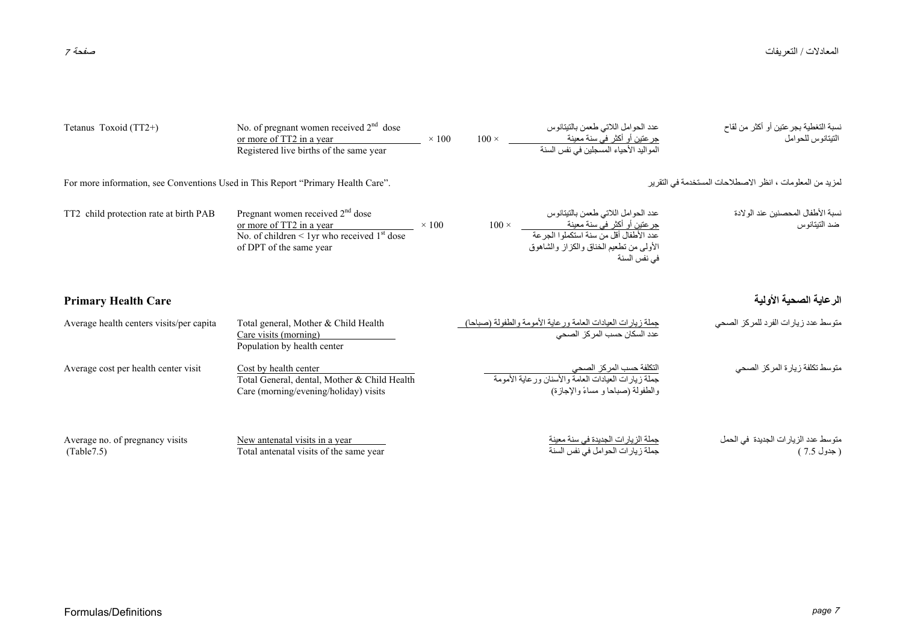#### المعادلات / التعريفات / التعريفات صفحة <sup>7</sup>

| Tetanus Toxoid (TT2+)                                                            | No. of pregnant women received $2nd$ dose<br>or more of TT2 in a year<br>Registered live births of the same year                                                     | $\times$ 100 | $100 \times$ | عدد الحوامل اللاتي طعمن بالتيتانوس<br><u>جر عتين أو أكثر في سنة معينة </u><br>المواليد الأحياء المسجلين في نفس السنة                                                               | نسبة التغطية بجر عتين أو أكثر من لقاح<br>التبتانوس للحو امل |
|----------------------------------------------------------------------------------|----------------------------------------------------------------------------------------------------------------------------------------------------------------------|--------------|--------------|------------------------------------------------------------------------------------------------------------------------------------------------------------------------------------|-------------------------------------------------------------|
| For more information, see Conventions Used in This Report "Primary Health Care". |                                                                                                                                                                      |              |              |                                                                                                                                                                                    | لمزيد من المعلومات ، انظر الاصطلاحات المستخدمة في التقرير   |
| TT2 child protection rate at birth PAB                                           | Pregnant women received 2 <sup>nd</sup> dose<br>or more of TT2 in a year<br>No. of children $\leq 1$ yr who received 1 <sup>st</sup> dose<br>of DPT of the same year | $\times$ 100 | $100 \times$ | عدد الحوامل اللاتي طعمن بالتيتانوس<br>جرعتين أو أكثر في سنة معينة<br>عدد الأطفال أقل من سنة استكملوا الجرعة<br>الأولَّـى من تطعيم الْخناق و الكز از ۖ و الشَّاهو ق<br>في نفس السنة | نسبة الأطفال المحصنين عند الو لادة<br>ضد التيتانو س         |
| <b>Primary Health Care</b>                                                       |                                                                                                                                                                      |              |              |                                                                                                                                                                                    | الرعاية الصحية الأولية                                      |
| Average health centers visits/per capita                                         | Total general, Mother & Child Health<br>Care visits (morning)<br>Population by health center                                                                         |              |              | جملة زيارات العيادات العامة ورعاية الأمومة والطفولة (صباحا)<br>عدد السكان حسب المركز الصحي                                                                                         | متوسط عدد زيارات الفرد للمركز الصحى                         |
| Average cost per health center visit                                             | Cost by health center<br>Total General, dental, Mother & Child Health<br>Care (morning/evening/holiday) visits                                                       |              |              | <u>التكلفة حسب المركز الصحي</u><br>جملة زيارات العيادات العامة والأسنان ورعاية الأمومة<br>والطفولة (صباحا و مساءً والإجازة)                                                        | متوسط تكلفة زيارة المركز الصحى                              |
| Average no. of pregnancy visits<br>(Table 7.5)                                   | New antenatal visits in a year<br>Total antenatal visits of the same year                                                                                            |              |              | جملة الزيارات الجديدة في سنة معينة<br>جملة زيارات الحوامل في نفس السنة                                                                                                             | متوسط عدد الزيارات الجديدة في الحمل<br>( جدول 7.5 )         |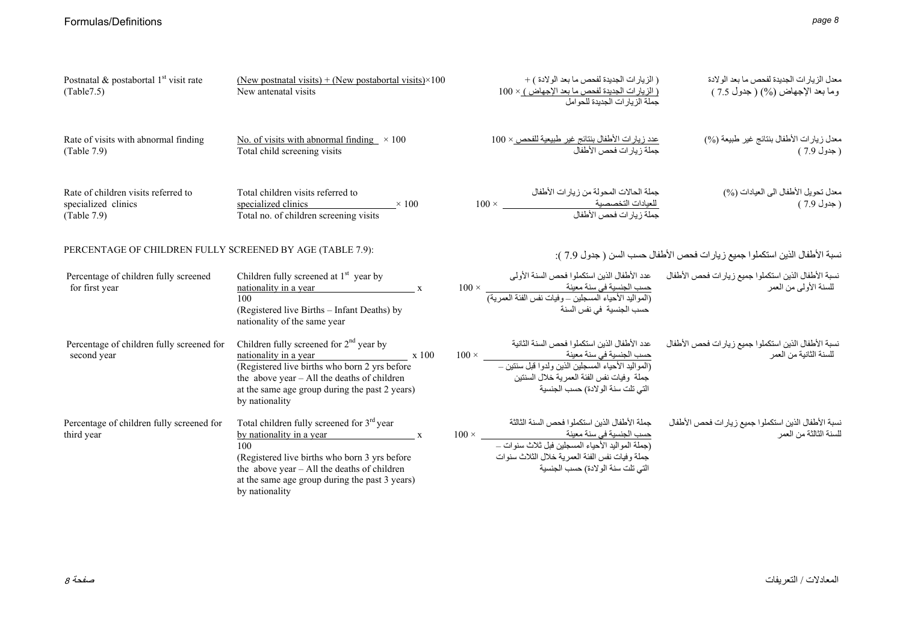| Postnatal & postabortal $1st$ visit rate<br>(Table 7.5)                   | (New postnatal visits) + (New postabortal visits) $\times$ 100<br>New antenatal visits                                                                                                                                                                                     | ( الز يار ات الجديدة لفحص ما بعد الو لادة ) +<br>( الزيار ات الجديدة لفحص ما بعد الإجهاض ) × 100<br>حملة الزيار ات الحديدة للحوامل                                                                                                                                                              | معدل الزيار ات الجديدة لفحص ما بعد الو لادة<br>وما بعد الإجهاض (%) ( جدول 7.5 ) |
|---------------------------------------------------------------------------|----------------------------------------------------------------------------------------------------------------------------------------------------------------------------------------------------------------------------------------------------------------------------|-------------------------------------------------------------------------------------------------------------------------------------------------------------------------------------------------------------------------------------------------------------------------------------------------|---------------------------------------------------------------------------------|
| Rate of visits with abnormal finding<br>(Table 7.9)                       | No. of visits with abnormal finding $\times 100$<br>Total child screening visits                                                                                                                                                                                           | عدد زيار ات الأطفال بنتائج غير طبيعية للفحص × 100<br>جملة زبار ات فحص الأطفال                                                                                                                                                                                                                   | معدل زيارات الأطفال بنتائج غير طبيعة (%)<br>(جدول 7.9)                          |
| Rate of children visits referred to<br>specialized clinics<br>(Table 7.9) | Total children visits referred to<br>specialized clinics<br>$\times$ 100<br>Total no. of children screening visits                                                                                                                                                         | جملة الحالات المحولة من زيار ات الأطفال<br>للعيادات التخصصية<br>جملة زيار ات فحص الأطفال                                                                                                                                                                                                        | معدل نحويل الأطفال الى العيادات (%)<br>( جدول 7.9 )                             |
| PERCENTAGE OF CHILDREN FULLY SCREENED BY AGE (TABLE 7.9):                 |                                                                                                                                                                                                                                                                            |                                                                                                                                                                                                                                                                                                 | نسبة الأطفال الذين استكملوا جميع زيارات فحص الأطفال حسب السن ( جدول 7.9 ):      |
| Percentage of children fully screened<br>for first year                   | Children fully screened at $1st$ year by<br>nationality in a year x<br>100<br>(Registered live Births – Infant Deaths) by<br>nationality of the same year                                                                                                                  | عدد الأطفال الذين استكملوا فحص السنة الأولى<br>حسب الجنسية في سنة معيّنة<br>(المواليد الأحياء المسجلين – وفيات نفس الفئة العمرية)<br>(المواليد الأحياء المسجلين – وفيات نفس الفئة العمرية)<br>حسب الجنسية في نفس السنة                                                                          | نسبة الأطفال الذين استكملوا جميع زيارات فحص الأطفال<br>للسنة الأولىي من العمر   |
| Percentage of children fully screened for<br>second year                  | Children fully screened for $2nd$ year by<br>nationality in a year x 100<br>(Registered live births who born 2 yrs before<br>the above year $-$ All the deaths of children<br>at the same age group during the past 2 years)<br>by nationality                             | عدد الأطفال الذين استكملوا فحص السنة الثانية<br>جملة وفيات نفس الفئة العمرية خلال السنتين<br>التي تلت سنة الولادة) حسب الجنسية                                                                                                                                                                  | نسبة الأطفال الذين استكملوا جميع زيارات فحص الأطفال<br>للسنة الثانية من العمر   |
| Percentage of children fully screened for<br>third year                   | Total children fully screened for 3 <sup>rd</sup> year<br>by nationality in a year $\mathbf{x}$<br>100<br>(Registered live births who born 3 yrs before<br>the above year - All the deaths of children<br>at the same age group during the past 3 years)<br>by nationality | جملة الأطفال الذين استكملوا فحص السنة الثالثة<br>حسب الجنسية في سنة معينة معينة معينة معينة معينة معينة معينة معينة معينة معينة معينة معينة معينة مع<br>(جملة المواليد الأحياء المسجلين فبل ثلاث سنوات –<br>جملة وفيات نفس الفئة العمرية خلال الثلاث سنوات<br>التي تلت سنة الولادة) حسب الجنسية | نسبة الأطفال الذين استكملوا جميع زيارات فحص الأطفال<br>للسنة الثالثة من العمر   |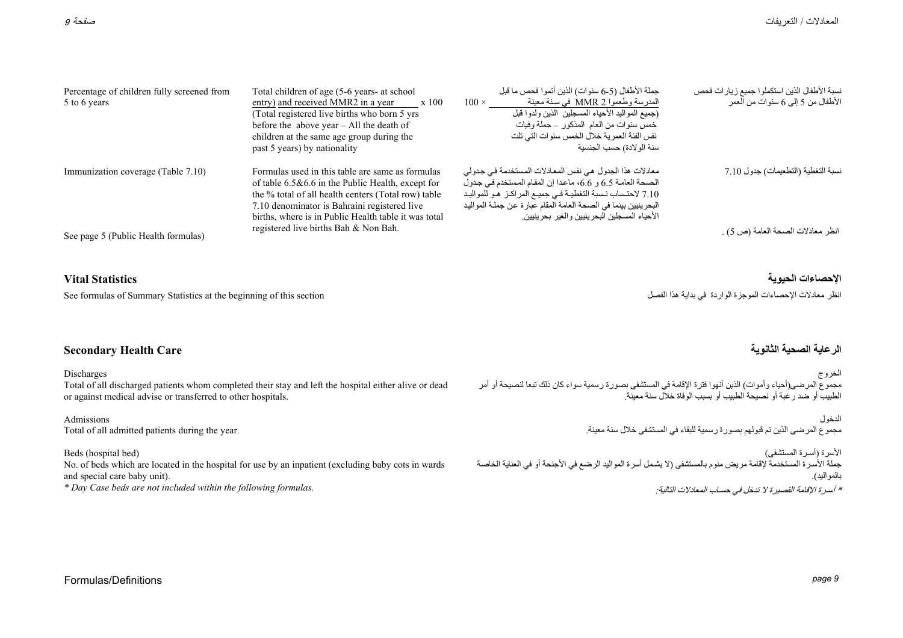| Percentage of children fully screened from<br>5 to 6 years | Total children of age (5-6 years- at school<br>entry) and received MMR2 in a year<br>x 100<br>(Total registered live births who born 5 yrs<br>before the above year $-$ All the death of<br>children at the same age group during the<br>past 5 years) by nationality   | جملة الأطفال (5-6 سنوات) الذين أتموا فحص ما قبل<br>المدرسة وطعموا MMR 2 في سنة معينة<br>$100 \times$<br>(جميع المواليد الأحياء المسجلين الذين ولدوا قبل<br>خمس سنو ات من العام المذكور  ــ جملة و فيات<br>نفس الفئة العمرية خلال الخمس سنوات التي تلت<br>سنة الو لادة) حسب الجنسية                 | نسبة الأطفال الذين استكملوا جميع زيارات فحص<br>الأطفال من 5 إلى 6 سنوات من العمر |
|------------------------------------------------------------|-------------------------------------------------------------------------------------------------------------------------------------------------------------------------------------------------------------------------------------------------------------------------|----------------------------------------------------------------------------------------------------------------------------------------------------------------------------------------------------------------------------------------------------------------------------------------------------|----------------------------------------------------------------------------------|
| Immunization coverage (Table 7.10)                         | Formulas used in this table are same as formulas<br>of table $6.5\&6.6$ in the Public Health, except for<br>the % total of all health centers (Total row) table<br>7.10 denominator is Bahraini registered live<br>births, where is in Public Health table it was total | معادلات هذا الجدول هي نفس المعادلات المستخدمة في جدولي<br>الصحة العامة 6.5 و 6.6، ماعدا إن المقام المستخدم في جدول<br>7.10 لاحتساب نسبة التغطيـة فـي جميـع المراكـز هـو للمواليـد<br>البحرينيين بينما في الصحة العامة المقام عبارة عن جملة المواليد<br>الأحياء المسجلين البحرينيين والغير بحرينيين | نسبة التغطية (التطعيمات) جدول 7.10                                               |
| See page 5 (Public Health formulas)                        | registered live births Bah & Non Bah.                                                                                                                                                                                                                                   |                                                                                                                                                                                                                                                                                                    | انظر معادلات الصحة العامة (ص 5) .                                                |

#### **الإحصاءات الحيوية Statistics Vital**

See formulas of Summary Statistics at the beginning of this section الفصل هذا بداية في الواردة الموجزة الإحصاءات معادلات انظر

### **الرعاية الصحية الثانوية Care Health Secondary**

Discharges

Total of all discharged patients whom completed their stay and left the hospital either alive or dead or against medical advise or transferred to other hospitals.

Admissions Total of all admitted patients during the year.

Beds (hospital bed)

No. of beds which are located in the hospital for use by an inpatient (excluding baby cots in wards and special care baby unit).

*\* Day Case beds are not included within the following formulas.* 

الخروج مجموع المرضى(أحياء وأموات) الذين أنهوا فترة الإقامة في المستشفى بصورة رسمية سواء كان ذلك تبعا لنصيحة أو أمر الطبيب أو ضد رغبة أو نصيحة الطبيب أو بسبب الوفاة خلال سنة معينة.

> الدخول مجموع المرضى الذين تم قبولهم بصورة رسمية للبقاء في المستشفى خلال سنة معينة.

الأسرة (أسـرة المستشفى) جملة الأسـرة المستخدمة لإقامة مريض منوم بالمستشفى (لا يشـمل أسرة المواليد الرضع في الأجنحة أو في العناية الخاصة بالمواليد). \* أسـرة الإقامة القصيرة لا تدخل في حسـاب المعادلات التالية:

#### Formulas/Definitions *page 9*